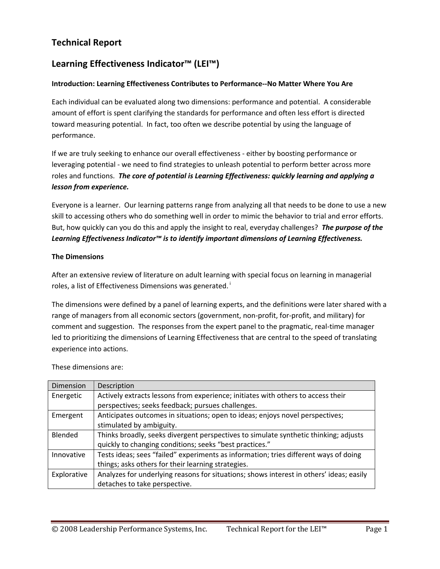# **Technical Report**

# **Learning Effectiveness Indicator™ (LEI™)**

#### **Introduction: Learning Effectiveness Contributes to Performance‐‐No Matter Where You Are**

Each individual can be evaluated along two dimensions: performance and potential. A considerable amount of effort is spent clarifying the standards for performance and often less effort is directed toward measuring potential. In fact, too often we describe potential by using the language of performance.

If we are truly seeking to enhance our overall effectiveness ‐ either by boosting performance or leveraging potential - we need to find strategies to unleash potential to perform better across more roles and functions. *The core of potential is Learning Effectiveness: quickly learning and applying a lesson from experience.*

Everyone is a learner. Our learning patterns range from analyzing all that needs to be done to use a new skill to accessing others who do something well in order to mimic the behavior to trial and error efforts. But, how quickly can you do this and apply the insight to real, everyday challenges? *The purpose of the Learning Effectiveness Indicator™ is to identify important dimensions of Learning Effectiveness.*

#### **The Dimensions**

After an extensive review of literature on adult learning with special focus on learning in managerial roles, a list of Effectiveness Dimensions was generated.<sup>i</sup>

The dimensions were defined by a panel of learning experts, and the definitions were later shared with a range of managers from all economic sectors (government, non-profit, for-profit, and military) for comment and suggestion. The responses from the expert panel to the pragmatic, real-time manager led to prioritizing the dimensions of Learning Effectiveness that are central to the speed of translating experience into actions.

| <b>Dimension</b> | Description                                                                             |
|------------------|-----------------------------------------------------------------------------------------|
| Energetic        | Actively extracts lessons from experience; initiates with others to access their        |
|                  | perspectives; seeks feedback; pursues challenges.                                       |
| Emergent         | Anticipates outcomes in situations; open to ideas; enjoys novel perspectives;           |
|                  | stimulated by ambiguity.                                                                |
| Blended          | Thinks broadly, seeks divergent perspectives to simulate synthetic thinking; adjusts    |
|                  | quickly to changing conditions; seeks "best practices."                                 |
| Innovative       | Tests ideas; sees "failed" experiments as information; tries different ways of doing    |
|                  | things; asks others for their learning strategies.                                      |
| Explorative      | Analyzes for underlying reasons for situations; shows interest in others' ideas; easily |
|                  | detaches to take perspective.                                                           |

These dimensions are: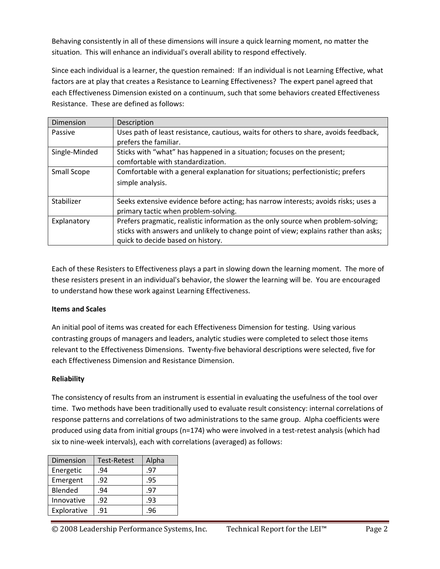Behaving consistently in all of these dimensions will insure a quick learning moment, no matter the situation. This will enhance an individual's overall ability to respond effectively.

Since each individual is a learner, the question remained: If an individual is not Learning Effective, what factors are at play that creates a Resistance to Learning Effectiveness? The expert panel agreed that each Effectiveness Dimension existed on a continuum, such that some behaviors created Effectiveness Resistance. These are defined as follows:

| Dimension     | Description                                                                          |
|---------------|--------------------------------------------------------------------------------------|
| Passive       | Uses path of least resistance, cautious, waits for others to share, avoids feedback, |
|               | prefers the familiar.                                                                |
| Single-Minded | Sticks with "what" has happened in a situation; focuses on the present;              |
|               | comfortable with standardization.                                                    |
| Small Scope   | Comfortable with a general explanation for situations; perfectionistic; prefers      |
|               | simple analysis.                                                                     |
|               |                                                                                      |
| Stabilizer    | Seeks extensive evidence before acting; has narrow interests; avoids risks; uses a   |
|               | primary tactic when problem-solving.                                                 |
| Explanatory   | Prefers pragmatic, realistic information as the only source when problem-solving;    |
|               | sticks with answers and unlikely to change point of view; explains rather than asks; |
|               | quick to decide based on history.                                                    |

Each of these Resisters to Effectiveness plays a part in slowing down the learning moment. The more of these resisters present in an individual's behavior, the slower the learning will be. You are encouraged to understand how these work against Learning Effectiveness.

#### **Items and Scales**

An initial pool of items was created for each Effectiveness Dimension for testing. Using various contrasting groups of managers and leaders, analytic studies were completed to select those items relevant to the Effectiveness Dimensions. Twenty‐five behavioral descriptions were selected, five for each Effectiveness Dimension and Resistance Dimension.

#### **Reliability**

The consistency of results from an instrument is essential in evaluating the usefulness of the tool over time. Two methods have been traditionally used to evaluate result consistency: internal correlations of response patterns and correlations of two administrations to the same group. Alpha coefficients were produced using data from initial groups (n=174) who were involved in a test-retest analysis (which had six to nine-week intervals), each with correlations (averaged) as follows:

| Dimension   | <b>Test-Retest</b> | Alpha |  |
|-------------|--------------------|-------|--|
| Energetic   | .94                | .97   |  |
| Emergent    | .92                | .95   |  |
| Blended     | .94                | .97   |  |
| Innovative  | .92                | .93   |  |
| Explorative | .91                | .96   |  |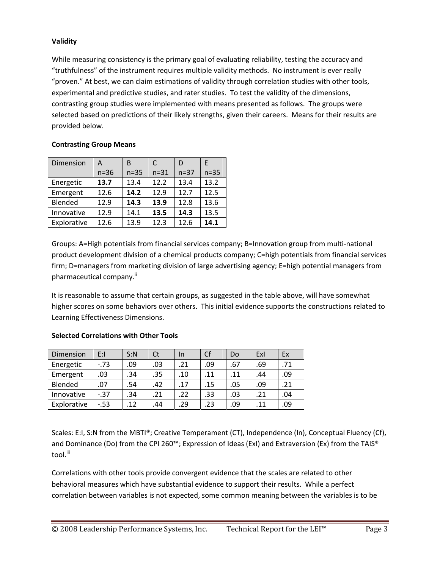### **Validity**

While measuring consistency is the primary goal of evaluating reliability, testing the accuracy and "truthfulness" of the instrument requires multiple validity methods. No instrument is ever really "proven." At best, we can claim estimations of validity through correlation studies with other tools, experimental and predictive studies, and rater studies. To test the validity of the dimensions, contrasting group studies were implemented with means presented as follows. The groups were selected based on predictions of their likely strengths, given their careers. Means for their results are provided below.

### **Contrasting Group Means**

| Dimension   | A      | B      | C        | D        | F        |
|-------------|--------|--------|----------|----------|----------|
|             | $n=36$ | $n=35$ | $n = 31$ | $n = 37$ | $n = 35$ |
| Energetic   | 13.7   | 13.4   | 12.2     | 13.4     | 13.2     |
| Emergent    | 12.6   | 14.2   | 12.9     | 12.7     | 12.5     |
| Blended     | 12.9   | 14.3   | 13.9     | 12.8     | 13.6     |
| Innovative  | 12.9   | 14.1   | 13.5     | 14.3     | 13.5     |
| Explorative | 12.6   | 13.9   | 12.3     | 12.6     | 14.1     |

Groups: A=High potentials from financial services company; B=Innovation group from multi‐national product development division of a chemical products company; C=high potentials from financial services firm; D=managers from marketing division of large advertising agency; E=high potential managers from pharmaceutical company.<sup>ii</sup>

It is reasonable to assume that certain groups, as suggested in the table above, will have somewhat higher scores on some behaviors over others. This initial evidence supports the constructions related to Learning Effectiveness Dimensions.

| Dimension   | E:I     | S:N | Ct  | In  | Cf  | Do  | Exl | Ex  |
|-------------|---------|-----|-----|-----|-----|-----|-----|-----|
| Energetic   | $-.73$  | .09 | .03 | .21 | .09 | .67 | .69 | .71 |
| Emergent    | .03     | .34 | .35 | .10 | .11 | .11 | .44 | .09 |
| Blended     | .07     | .54 | .42 | .17 | .15 | .05 | .09 | .21 |
| Innovative  | $-0.37$ | .34 | .21 | .22 | .33 | .03 | .21 | .04 |
| Explorative | $-0.53$ | .12 | .44 | .29 | .23 | .09 | .11 | .09 |

## **Selected Correlations with Other Tools**

Scales: E:I, S:N from the MBTI®; Creative Temperament (CT), Independence (In), Conceptual Fluency (Cf), and Dominance (Do) from the CPI 260™; Expression of Ideas (ExI) and Extraversion (Ex) from the TAIS® tool.<sup>iii</sup>

Correlations with other tools provide convergent evidence that the scales are related to other behavioral measures which have substantial evidence to support their results. While a perfect correlation between variables is not expected, some common meaning between the variables is to be